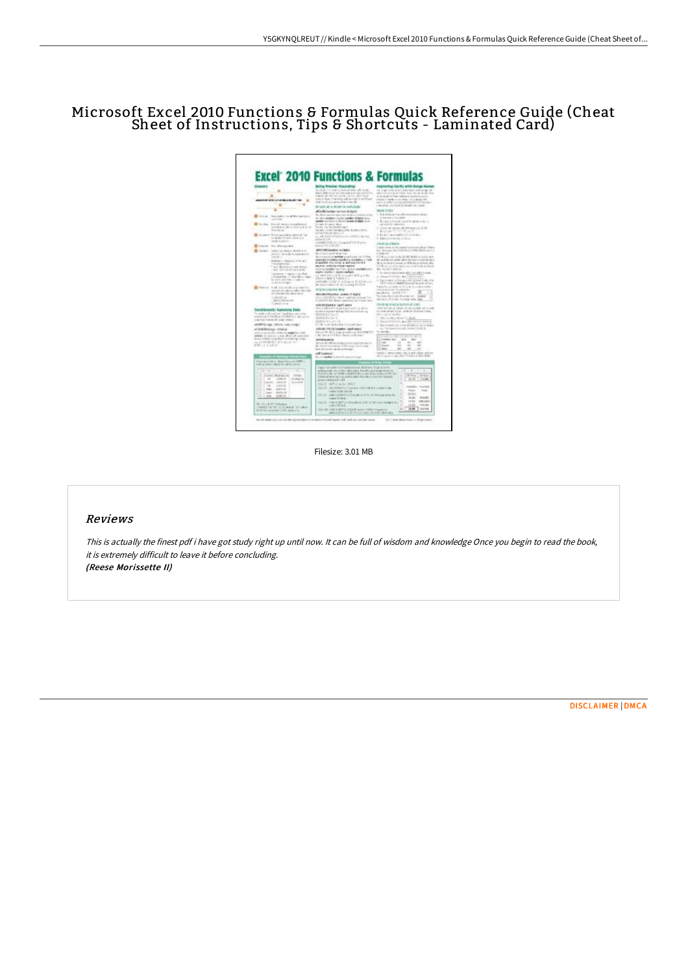## Microsoft Excel 2010 Functions & Formulas Quick Reference Guide (Cheat Sheet of Instructions, Tips & Shortcuts - Laminated Card)

| Gimmierty                                                                                                                                                                                                                                                                                                                                                                                                                                                                            | <b>Ballyz Reaches (Reservation)</b>                                                                                                                                                                                                                                                                                                                                                                                                                                                                                                                                                                                                                                                                                                      | groving Clieft's with its rge fisme                                                                                                                                                                                                                                                                                                                                                                                                                                        |
|--------------------------------------------------------------------------------------------------------------------------------------------------------------------------------------------------------------------------------------------------------------------------------------------------------------------------------------------------------------------------------------------------------------------------------------------------------------------------------------|------------------------------------------------------------------------------------------------------------------------------------------------------------------------------------------------------------------------------------------------------------------------------------------------------------------------------------------------------------------------------------------------------------------------------------------------------------------------------------------------------------------------------------------------------------------------------------------------------------------------------------------------------------------------------------------------------------------------------------------|----------------------------------------------------------------------------------------------------------------------------------------------------------------------------------------------------------------------------------------------------------------------------------------------------------------------------------------------------------------------------------------------------------------------------------------------------------------------------|
| <b>COMPANY LENGTHERANDS FOR</b><br>٠<br>$\blacksquare$<br>$\frac{1}{2}$                                                                                                                                                                                                                                                                                                                                                                                                              | to leaf in a suite feature was allegate.<br>depend the terms are throught to a maturize of the<br>taken, K. Hilayi dedle dalari Mis bat<br>Auto Autor: If to shorter with in cloth- to audit want<br>that you all containing (Paint manual).                                                                                                                                                                                                                                                                                                                                                                                                                                                                                             | the large removation and coloring determined<br>ally treat well also fast or acable com-<br>to accelerate for the celestron, in pre- to point.<br>Indeed of ranks were select. An overade the<br>rates or of the "article with lighting of the country<br>ing all as a start hand, then been in a seat, a                                                                                                                                                                  |
|                                                                                                                                                                                                                                                                                                                                                                                                                                                                                      | the same line on discusses the analysis banks.<br>400 Million Man, summer of state.                                                                                                                                                                                                                                                                                                                                                                                                                                                                                                                                                                                                                                                      | <b>NATAL VIDEO</b>                                                                                                                                                                                                                                                                                                                                                                                                                                                         |
| <b>II</b> family<br>Institutes (cause the matrix as<br><b>AND AT REA</b><br><b>ER GLAN</b><br>Retail Messachuse league<br>2010/01/01 28:15 12:30:30 STEEL BE<br>5510 (d) ad                                                                                                                                                                                                                                                                                                          | Box 4040 marketin inger, Denis at Liberty and all prints fairs.<br>the Mary Assistance country supplier of Martin Linky<br>acted an interesting and study and an advance of subjects to the<br>Entreported served relevan-<br>being mailendes ernart.<br>Scotts-controllerador Evenivo Pre-<br>parties to lie coast led at Suit                                                                                                                                                                                                                                                                                                                                                                                                          | 1. Tele monetary eligibility and estimated detect<br>JOANNE LIVING<br>I deviate information and he dalong have a<br>and market in La Adventure.<br>1. The car and the search of the search and in the                                                                                                                                                                                                                                                                      |
| B France Tromwoodhisteria Dr.<br>to tarafee function (seniors) in<br>relati Lokart.                                                                                                                                                                                                                                                                                                                                                                                                  | 12 API CE APEI NOTES EN LEGA<br>$0.004$ in $3.44$                                                                                                                                                                                                                                                                                                                                                                                                                                                                                                                                                                                                                                                                                        | 4. Bullet Crew Mogillon, 21 al Antoine<br>1. Lighters at a distinction of factors.                                                                                                                                                                                                                                                                                                                                                                                         |
| B baren in decisions                                                                                                                                                                                                                                                                                                                                                                                                                                                                 | ADOBBUTCHELSA (Canach W713) Macdon<br>ways 71.0 Q.63.                                                                                                                                                                                                                                                                                                                                                                                                                                                                                                                                                                                                                                                                                    | Dealing a feature                                                                                                                                                                                                                                                                                                                                                                                                                                                          |
| <b>ED</b> Tuesdor: (146x) portforall abidition to<br>as form for a deal a swainter for<br>pendent<br>Kellewicz-Helphia, 9 Peters<br>* Estimationist                                                                                                                                                                                                                                                                                                                                  | AUCCORD passive revision (<br>the release is specifical tax relat-<br>financial association and their secret is seen from \$2.00 as<br>mainted distingungher granades in tal-<br>all analytic Algebra with a result move from the                                                                                                                                                                                                                                                                                                                                                                                                                                                                                                        | Legislations and in contribution considerate figures.<br>By Charakis Ra-Hillyckill, Library Arty Laurica<br>is packeted.<br>1000 For a color fund of the Mill McMill and a change of<br>No condition to real for which the crain or provided not to<br>In any straintened in Massoulables, Au-                                                                                                                                                                             |
| * and Material clust shows:<br>1.840 Cardinavant and action<br>interests and taxable and backets<br>y lasem free, yir has denviroped<br>its on it consider is send its<br>to DOLMARK<br>El Melodo (Kalk Internation), and related<br>territra cilici è sitti: No tria<br>of a warrant fills editor topolo<br><b>CAYRIN</b><br><b>Jane Personne</b><br><b>Contact drum</b>                                                                                                            | action, conticious logic register.<br>Representation may than a politic and this trutch.<br>signer transfer - sejutur stakistic<br>to senior their products and re-<br>mast rugge if hand too.<br>4400000 (224) 11, 631 (61) 12-23 M (p.m.<br>By Harantakill (6-12) Las ma 41,112 4.<br><b>Britishundron Wiv</b><br>45% MCCONScribes (calibra of Alphin)<br>the contract that the only structure that<br>in 1984/711 8th Manuel catch shault at 17 model hard-                                                                                                                                                                                                                                                                           | STORY ALL THE CHARLES COLLECTIVE ACTIVITY<br>No museum stern.<br>1. To the n-contentains label that official reads<br>5. Thomas AT-2012/21, Mark Taylor in the<br>In Equivarian to Pennsus and growing play time<br>1001 Auto CMAR Leader by pair of Are-<br>Sandy Estructure and Let to be the content of the<br>OWN 410 IN HET TRY BANK BY<br>member or in history to<br>×<br>The Corps This in cash if was high rail.<br><b>Lowest</b><br>stress, Farwi reward are last |
|                                                                                                                                                                                                                                                                                                                                                                                                                                                                                      |                                                                                                                                                                                                                                                                                                                                                                                                                                                                                                                                                                                                                                                                                                                                          |                                                                                                                                                                                                                                                                                                                                                                                                                                                                            |
| In this children large dealer is reading retain.<br>ALLA CONTROLL WITH AND ALL R<br>HEAL CALD                                                                                                                                                                                                                                                                                                                                                                                        | <b>PETRICIAN</b><br>Terra de Bild (Erika alungson) est signi transport le<br>liest speciality law-aid of Fringer.                                                                                                                                                                                                                                                                                                                                                                                                                                                                                                                                                                                                                        | L'Inferio di C.<br><b>HERE</b><br>$-$<br>2,096<br>$\sim$<br>-mi<br><b>SALE</b><br>2. Greenl<br>$100 - 100$<br>the i<br>$-$<br>$\sim$<br>1.991<br>$\overline{a}$<br><b>ITT</b>                                                                                                                                                                                                                                                                                              |
| ____                                                                                                                                                                                                                                                                                                                                                                                                                                                                                 | Jilliansen<br>be no saiday is an information that                                                                                                                                                                                                                                                                                                                                                                                                                                                                                                                                                                                                                                                                                        | there is attenuated the to eat other solves.<br>distance manufactions is \$30.930.                                                                                                                                                                                                                                                                                                                                                                                         |
| A Applicated to Ball and The Auto 13, 1999 to<br>their an elegants shares at contribution on a<br>ы<br>m<br>٠<br>Lures (Busine Core)<br>33.85<br>$\overline{1}$<br>1,896.01<br><b>IS OGNIVAL</b><br>Guine NY<br><b>BLONERS</b><br>٠<br><b>Lighting</b><br>$\sim$<br>1,495,931<br>٠<br>441<br>Automatic<br>٠<br>14,410, 410<br>Trainers:<br>٠<br>tots.<br>ALTHOUGH<br>ISLIN-ENT-Minner<br>contacts of the contacts and of the subset<br>\$1100 Subcopies Flast 1 (1139) condected for | <b>Transport of String Predi</b><br>This Texas and it at Callebra prov. McRobert Stake a below<br>andersprink man ration relationed. Roombig springly products for<br>Exhibition by Lie 100 BE could MO-3 (All collections dates), or beat cut (B), duties<br>222 and being up they well to bill it blue attry's insint to Carmelo.<br>prior to domn and 1998.<br>13.1.101.000PLE on the child in<br>TEL: 10 UNIVERSITY PAINTENT PRESENTED A MARTINE<br><b>Instrumental counsel.</b><br>TEX 10 - AMCORDENTED Service at ETA 100 Mile and includes<br>United ST as it.<br>TOBLETTE AT R.<br>111 181 122 123 23 23 24 25 26 27 28 29 29 20 21 22 23 24 25 26 27 28 29 29 20 21<br>along activation 30). The entrance initiately, have need | ٠<br><b>M</b> Press<br><b>Tel Tarte</b><br>1.534<br>٤<br>19.29<br>٠<br>Constitut, Teacher-<br>Pisk<br><b>Hotel</b><br>Tik Nick<br>٠<br>٠<br>3.9.425<br><b>WARD</b><br>19.83<br>NICORD<br>٠<br>i<br>11.95<br>18:4 (68)<br>18.89<br><b>CESTAS</b><br>xi                                                                                                                                                                                                                      |

Filesize: 3.01 MB

## Reviews

This is actually the finest pdf i have got study right up until now. It can be full of wisdom and knowledge Once you begin to read the book, it is extremely difficult to leave it before concluding. (Reese Morissette II)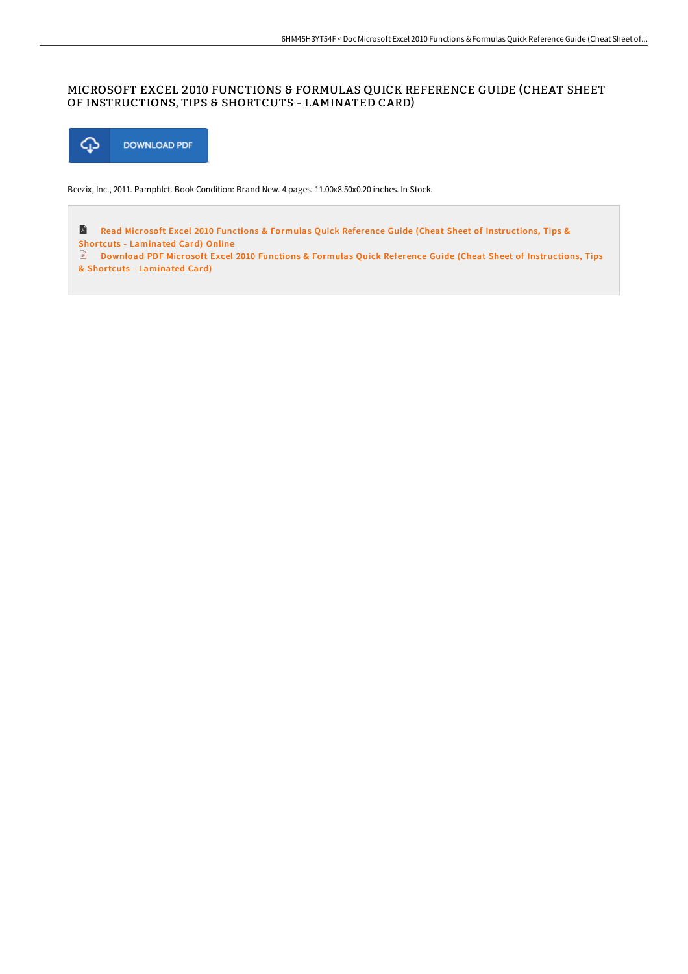## MICROSOFT EXCEL 2010 FUNCTIONS & FORMULAS QUICK REFERENCE GUIDE (CHEAT SHEET OF INSTRUCTIONS, TIPS & SHORTCUTS - LAMINATED CARD)



Beezix, Inc., 2011. Pamphlet. Book Condition: Brand New. 4 pages. 11.00x8.50x0.20 inches. In Stock.

L) Read Microsoft Excel 2010 Functions & Formulas Quick Reference Guide (Cheat Sheet of [Instructions,](http://techno-pub.tech/microsoft-excel-2010-functions-amp-formulas-quic.html) Tips & Shortcuts - Laminated Card) Online Download PDF Microsoft Excel 2010 Functions & Formulas Quick Reference Guide (Cheat Sheet of [Instructions,](http://techno-pub.tech/microsoft-excel-2010-functions-amp-formulas-quic.html) Tips & Shortcuts - Laminated Card)